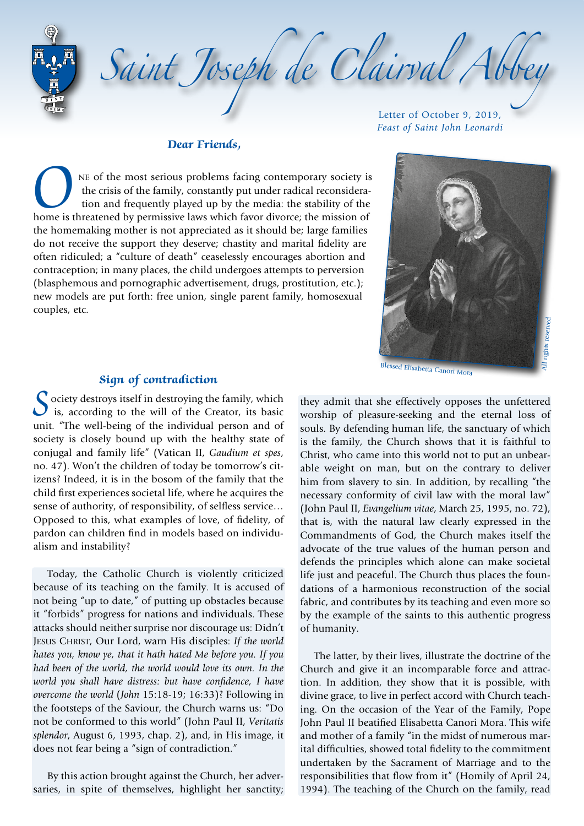Saint Joseph de Clairval Abb

### **Dear Friends,**

NE of the most serious problems facing contemporary society is the crisis of the family, constantly put under radical reconsideration and frequently played up by the media: the stability of the home is threatened by permis the crisis of the family, constantly put under radical reconsideration and frequently played up by the media: the stability of the the homemaking mother is not appreciated as it should be; large families do not receive the support they deserve; chastity and marital fidelity are often ridiculed; a "culture of death" ceaselessly encourages abortion and contraception; in many places, the child undergoes attempts to perversion (blasphemous and pornographic advertisement, drugs, prostitution, etc.); new models are put forth: free union, single parent family, homosexual couples, etc.

Letter of October 9, 2019, *Feast of Saint John Leonardi*



### **Sign of contradiction**

 $\Omega$  ociety destroys itself in destroying the family, which is, according to the will of the Creator, its basic unit. "The well-being of the individual person and of society is closely bound up with the healthy state of conjugal and family life" (Vatican II, *Gaudium et spes*, no. 47). Won't the children of today be tomorrow's citizens? Indeed, it is in the bosom of the family that the child first experiences societal life, where he acquires the sense of authority, of responsibility, of selfless service… Opposed to this, what examples of love, of fidelity, of pardon can children find in models based on individualism and instability?

Today, the Catholic Church is violently criticized because of its teaching on the family. It is accused of not being "up to date," of putting up obstacles because it "forbids" progress for nations and individuals. These attacks should neither surprise nor discourage us: Didn't Jesus Christ, Our Lord, warn His disciples: *If the world hates you, know ye, that it hath hated Me before you. If you had been of the world, the world would love its own. In the world you shall have distress: but have confidence, I have overcome the world* (*John* 15:18-19; 16:33)? Following in the footsteps of the Saviour, the Church warns us: "Do not be conformed to this world" (John Paul II, *Veritatis splendor*, August 6, 1993, chap. 2), and, in His image, it does not fear being a "sign of contradiction."

By this action brought against the Church, her adversaries, in spite of themselves, highlight her sanctity;

they admit that she effectively opposes the unfettered worship of pleasure-seeking and the eternal loss of souls. By defending human life, the sanctuary of which is the family, the Church shows that it is faithful to Christ, who came into this world not to put an unbearable weight on man, but on the contrary to deliver him from slavery to sin. In addition, by recalling "the necessary conformity of civil law with the moral law" (John Paul II, *Evangelium vitae*, March 25, 1995, no. 72), that is, with the natural law clearly expressed in the Commandments of God, the Church makes itself the advocate of the true values of the human person and defends the principles which alone can make societal life just and peaceful. The Church thus places the foundations of a harmonious reconstruction of the social fabric, and contributes by its teaching and even more so by the example of the saints to this authentic progress of humanity.

The latter, by their lives, illustrate the doctrine of the Church and give it an incomparable force and attraction. In addition, they show that it is possible, with divine grace, to live in perfect accord with Church teaching. On the occasion of the Year of the Family, Pope John Paul II beatified Elisabetta Canori Mora. This wife and mother of a family "in the midst of numerous marital difficulties, showed total fidelity to the commitment undertaken by the Sacrament of Marriage and to the responsibilities that flow from it" (Homily of April 24, 1994). The teaching of the Church on the family, read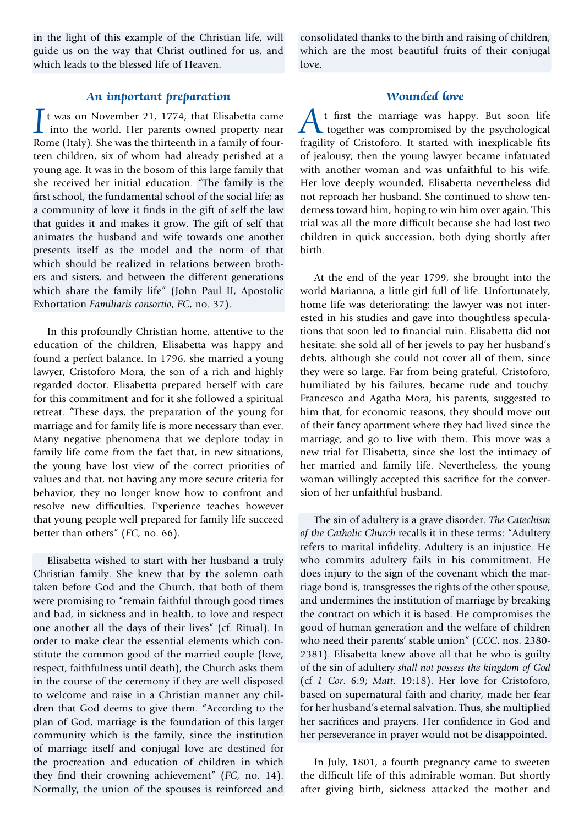in the light of this example of the Christian life, will guide us on the way that Christ outlined for us, and which leads to the blessed life of Heaven.

consolidated thanks to the birth and raising of children, which are the most beautiful fruits of their conjugal love.

#### **An important preparation**

 $\int$ t was on November 21, 1774, that Elisabetta came<br>into the world. Her parents owned property near<br>Pame (Italy) Shawes the thirteenth in a family of four into the world. Her parents owned property near Rome (Italy). She was the thirteenth in a family of fourteen children, six of whom had already perished at a young age. It was in the bosom of this large family that she received her initial education. "The family is the first school, the fundamental school of the social life; as a community of love it finds in the gift of self the law that guides it and makes it grow. The gift of self that animates the husband and wife towards one another presents itself as the model and the norm of that which should be realized in relations between brothers and sisters, and between the different generations which share the family life" (John Paul II, Apostolic Exhortation *Familiaris consortio*, *FC*, no. 37).

In this profoundly Christian home, attentive to the education of the children, Elisabetta was happy and found a perfect balance. In 1796, she married a young lawyer, Cristoforo Mora, the son of a rich and highly regarded doctor. Elisabetta prepared herself with care for this commitment and for it she followed a spiritual retreat. "These days, the preparation of the young for marriage and for family life is more necessary than ever. Many negative phenomena that we deplore today in family life come from the fact that, in new situations, the young have lost view of the correct priorities of values and that, not having any more secure criteria for behavior, they no longer know how to confront and resolve new difficulties. Experience teaches however that young people well prepared for family life succeed better than others" (*FC,* no. 66).

Elisabetta wished to start with her husband a truly Christian family. She knew that by the solemn oath taken before God and the Church, that both of them were promising to "remain faithful through good times and bad, in sickness and in health, to love and respect one another all the days of their lives" (cf. Ritual). In order to make clear the essential elements which constitute the common good of the married couple (love, respect, faithfulness until death), the Church asks them in the course of the ceremony if they are well disposed to welcome and raise in a Christian manner any children that God deems to give them. "According to the plan of God, marriage is the foundation of this larger community which is the family, since the institution of marriage itself and conjugal love are destined for the procreation and education of children in which they find their crowning achievement" (*FC,* no. 14). Normally, the union of the spouses is reinforced and

# **Wounded love**

At first the marriage was happy. But soon life together was compromised by the psychological fragility of Cristoforo. It started with inexplicable fits of jealousy; then the young lawyer became infatuated with another woman and was unfaithful to his wife. Her love deeply wounded, Elisabetta nevertheless did not reproach her husband. She continued to show tenderness toward him, hoping to win him over again. This trial was all the more difficult because she had lost two children in quick succession, both dying shortly after birth.

At the end of the year 1799, she brought into the world Marianna, a little girl full of life. Unfortunately, home life was deteriorating: the lawyer was not interested in his studies and gave into thoughtless speculations that soon led to financial ruin. Elisabetta did not hesitate: she sold all of her jewels to pay her husband's debts, although she could not cover all of them, since they were so large. Far from being grateful, Cristoforo, humiliated by his failures, became rude and touchy. Francesco and Agatha Mora, his parents, suggested to him that, for economic reasons, they should move out of their fancy apartment where they had lived since the marriage, and go to live with them. This move was a new trial for Elisabetta, since she lost the intimacy of her married and family life. Nevertheless, the young woman willingly accepted this sacrifice for the conversion of her unfaithful husband.

The sin of adultery is a grave disorder. *The Catechism of the Catholic Church* recalls it in these terms: "Adultery refers to marital infidelity. Adultery is an injustice. He who commits adultery fails in his commitment. He does injury to the sign of the covenant which the marriage bond is, transgresses the rights of the other spouse, and undermines the institution of marriage by breaking the contract on which it is based. He compromises the good of human generation and the welfare of children who need their parents' stable union" (*CCC*, nos. 2380- 2381). Elisabetta knew above all that he who is guilty of the sin of adultery *shall not possess the kingdom of God* (cf *1 Cor*. 6:9; *Matt*. 19:18). Her love for Cristoforo, based on supernatural faith and charity, made her fear for her husband's eternal salvation. Thus, she multiplied her sacrifices and prayers. Her confidence in God and her perseverance in prayer would not be disappointed.

In July, 1801, a fourth pregnancy came to sweeten the difficult life of this admirable woman. But shortly after giving birth, sickness attacked the mother and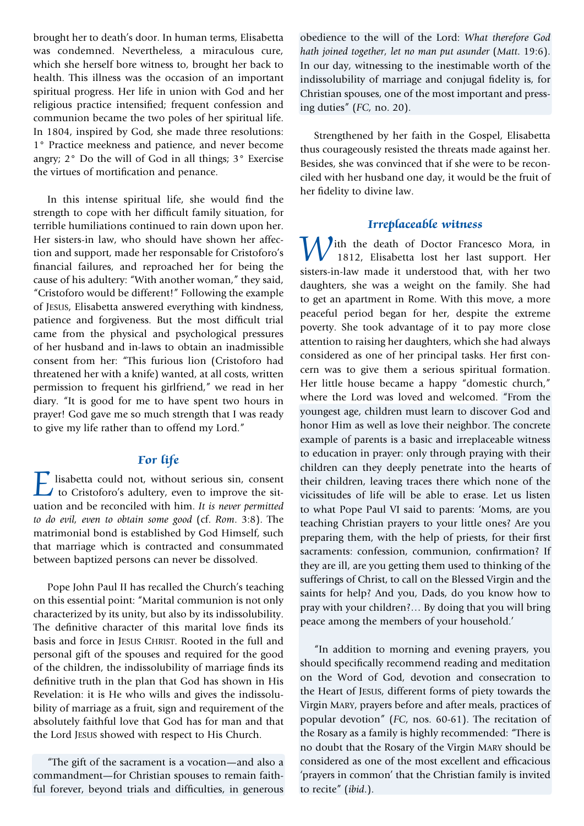brought her to death's door. In human terms, Elisabetta was condemned. Nevertheless, a miraculous cure, which she herself bore witness to, brought her back to health. This illness was the occasion of an important spiritual progress. Her life in union with God and her religious practice intensified; frequent confession and communion became the two poles of her spiritual life. In 1804, inspired by God, she made three resolutions: 1° Practice meekness and patience, and never become angry; 2° Do the will of God in all things; 3° Exercise the virtues of mortification and penance.

In this intense spiritual life, she would find the strength to cope with her difficult family situation, for terrible humiliations continued to rain down upon her. Her sisters-in law, who should have shown her affection and support, made her responsable for Cristoforo's financial failures, and reproached her for being the cause of his adultery: "With another woman," they said, "Cristoforo would be different!" Following the example of Jesus, Elisabetta answered everything with kindness, patience and forgiveness. But the most difficult trial came from the physical and psychological pressures of her husband and in-laws to obtain an inadmissible consent from her: "This furious lion (Cristoforo had threatened her with a knife) wanted, at all costs, written permission to frequent his girlfriend," we read in her diary. "It is good for me to have spent two hours in prayer! God gave me so much strength that I was ready to give my life rather than to offend my Lord."

# **For life**

 $\sum$  lisabetta could not, without serious sin, consent<br>to Cristoforo's adultery, even to improve the sitto Cristoforo's adultery, even to improve the situation and be reconciled with him. *It is never permitted to do evil, even to obtain some good* (cf. *Rom*. 3:8). The matrimonial bond is established by God Himself, such that marriage which is contracted and consummated between baptized persons can never be dissolved.

Pope John Paul II has recalled the Church's teaching on this essential point: "Marital communion is not only characterized by its unity, but also by its indissolubility. The definitive character of this marital love finds its basis and force in JESUS CHRIST. Rooted in the full and personal gift of the spouses and required for the good of the children, the indissolubility of marriage finds its definitive truth in the plan that God has shown in His Revelation: it is He who wills and gives the indissolubility of marriage as a fruit, sign and requirement of the absolutely faithful love that God has for man and that the Lord Jesus showed with respect to His Church.

"The gift of the sacrament is a vocation—and also a commandment—for Christian spouses to remain faithful forever, beyond trials and difficulties, in generous obedience to the will of the Lord: *What therefore God hath joined together, let no man put asunder* (*Matt*. 19:6). In our day, witnessing to the inestimable worth of the indissolubility of marriage and conjugal fidelity is, for Christian spouses, one of the most important and pressing duties" (*FC,* no. 20).

Strengthened by her faith in the Gospel, Elisabetta thus courageously resisted the threats made against her. Besides, she was convinced that if she were to be reconciled with her husband one day, it would be the fruit of her fidelity to divine law.

#### **Irreplaceable witness**

With the death of Doctor Francesco Mora, in 1812, Elisabetta lost her last support. Her sisters-in-law made it understood that, with her two daughters, she was a weight on the family. She had to get an apartment in Rome. With this move, a more peaceful period began for her, despite the extreme poverty. She took advantage of it to pay more close attention to raising her daughters, which she had always considered as one of her principal tasks. Her first concern was to give them a serious spiritual formation. Her little house became a happy "domestic church," where the Lord was loved and welcomed. "From the youngest age, children must learn to discover God and honor Him as well as love their neighbor. The concrete example of parents is a basic and irreplaceable witness to education in prayer: only through praying with their children can they deeply penetrate into the hearts of their children, leaving traces there which none of the vicissitudes of life will be able to erase. Let us listen to what Pope Paul VI said to parents: 'Moms, are you teaching Christian prayers to your little ones? Are you preparing them, with the help of priests, for their first sacraments: confession, communion, confirmation? If they are ill, are you getting them used to thinking of the sufferings of Christ, to call on the Blessed Virgin and the saints for help? And you, Dads, do you know how to pray with your children?… By doing that you will bring peace among the members of your household.'

"In addition to morning and evening prayers, you should specifically recommend reading and meditation on the Word of God, devotion and consecration to the Heart of Jesus, different forms of piety towards the Virgin Mary, prayers before and after meals, practices of popular devotion" (*FC*, nos. 60-61). The recitation of the Rosary as a family is highly recommended: "There is no doubt that the Rosary of the Virgin Mary should be considered as one of the most excellent and efficacious 'prayers in common' that the Christian family is invited to recite" (*ibid*.).